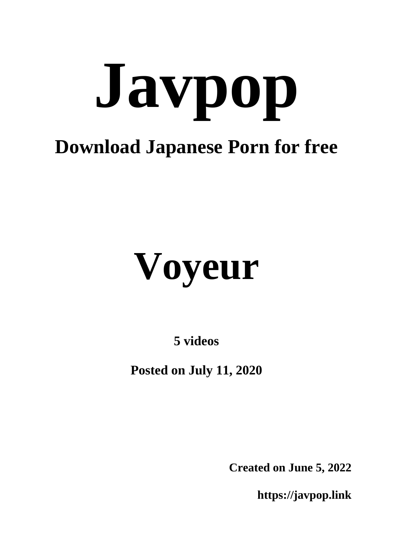



**5 videos**

**Posted on July 11, 2020**

**Created on June 5, 2022**

**<https://javpop.link>**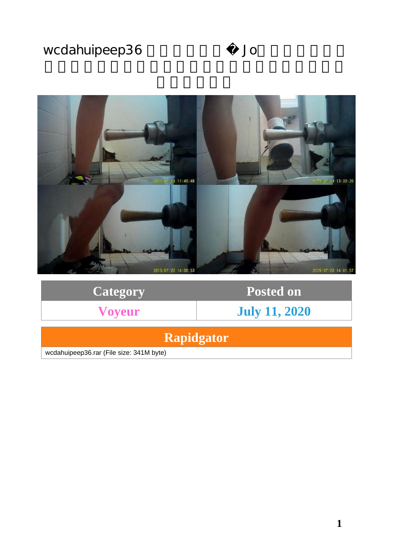### wcdahuipeep36 Jo



**Category Posted on** 

**[Voyeur](https://javpop.link/category/voyeur) [July 11, 2020](https://javpop.link/2020/07/11)**

## **Rapidgator**

[wcdahuipeep36.rar](http://rapidgator.net/file/9b6fa39378089655b5ee39bbd4756abb/wcdahuipeep36.rar.html) (File size: 341M byte)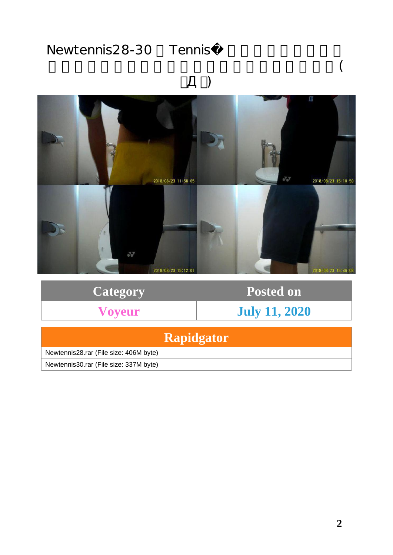## Newtennis28-30 Tennis

 $\epsilon$ 



**Category Posted on [Voyeur](https://javpop.link/category/voyeur) [July 11, 2020](https://javpop.link/2020/07/11)**

## **Rapidgator**

[Newtennis28.rar](https://rapidgator.net/file/8a2d86c87f00d0c6a33bfae04a6d7bb4/Newtennis28.rar.html) (File size: 406M byte)

[Newtennis30.rar](https://rapidgator.net/file/332854b68002c4e7d63069d78bf814bc/Newtennis30.rar.html) (File size: 337M byte)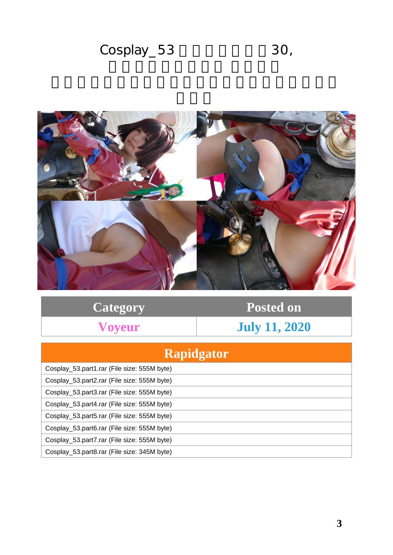## Cosplay\_53 30,



**[Voyeur](https://javpop.link/category/voyeur) [July 11, 2020](https://javpop.link/2020/07/11)**

**Category Posted on** 

## **Rapidgator**

| Cosplay_53.part1.rar (File size: 555M byte) |
|---------------------------------------------|
| Cosplay_53.part2.rar (File size: 555M byte) |
| Cosplay_53.part3.rar (File size: 555M byte) |
| Cosplay_53.part4.rar (File size: 555M byte) |
| Cosplay_53.part5.rar (File size: 555M byte) |
| Cosplay_53.part6.rar (File size: 555M byte) |
| Cosplay_53.part7.rar (File size: 555M byte) |
| Cosplay_53.part8.rar (File size: 345M byte) |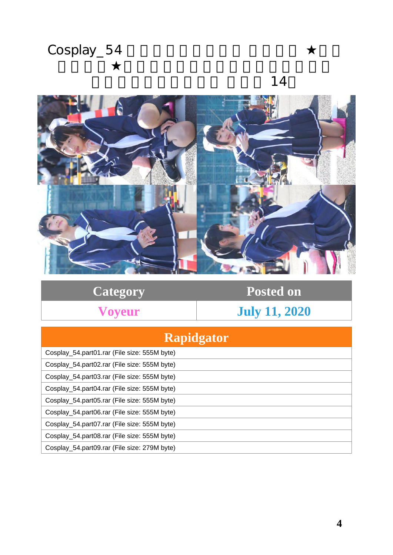## Cosplay\_54



# **Category Posted on**

## **[Voyeur](https://javpop.link/category/voyeur) [July 11, 2020](https://javpop.link/2020/07/11)**

| <b>Rapidgator</b>                            |
|----------------------------------------------|
| Cosplay_54.part01.rar (File size: 555M byte) |
| Cosplay_54.part02.rar (File size: 555M byte) |
| Cosplay_54.part03.rar (File size: 555M byte) |
| Cosplay_54.part04.rar (File size: 555M byte) |
| Cosplay_54.part05.rar (File size: 555M byte) |
| Cosplay_54.part06.rar (File size: 555M byte) |
| Cosplay_54.part07.rar (File size: 555M byte) |
| Cosplay_54.part08.rar (File size: 555M byte) |
| Cosplay_54.part09.rar (File size: 279M byte) |